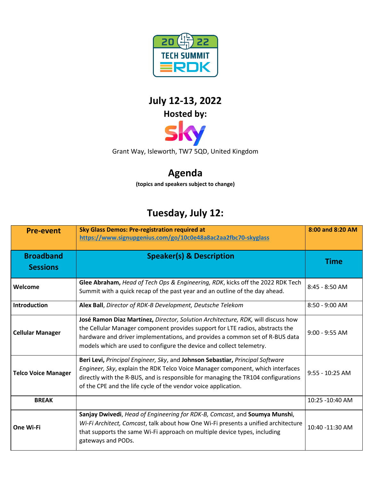

## **July 12-13, 2022 Hosted by:**

Grant Way, Isleworth, TW7 5QD, United Kingdom

## **Agenda**

**(topics and speakers subject to change)**

## **Tuesday, July 12:**

| <b>Pre-event</b>                    | <b>Sky Glass Demos: Pre-registration required at</b><br>https://www.signupgenius.com/go/10c0e48a8ac2aa2fbc70-skyglass                                                                                                                                                                                                     | 8:00 and 8:20 AM  |
|-------------------------------------|---------------------------------------------------------------------------------------------------------------------------------------------------------------------------------------------------------------------------------------------------------------------------------------------------------------------------|-------------------|
| <b>Broadband</b><br><b>Sessions</b> | <b>Speaker(s) &amp; Description</b>                                                                                                                                                                                                                                                                                       | <b>Time</b>       |
| Welcome                             | Glee Abraham, Head of Tech Ops & Engineering, RDK, kicks off the 2022 RDK Tech<br>Summit with a quick recap of the past year and an outline of the day ahead.                                                                                                                                                             | $8:45 - 8:50$ AM  |
| Introduction                        | Alex Ball, Director of RDK-B Development, Deutsche Telekom                                                                                                                                                                                                                                                                | $8:50 - 9:00$ AM  |
| <b>Cellular Manager</b>             | José Ramon Diaz Martínez, Director, Solution Architecture, RDK, will discuss how<br>the Cellular Manager component provides support for LTE radios, abstracts the<br>hardware and driver implementations, and provides a common set of R-BUS data<br>models which are used to configure the device and collect telemetry. | $9:00 - 9:55$ AM  |
| <b>Telco Voice Manager</b>          | Beri Levi, Principal Engineer, Sky, and Johnson Sebastiar, Principal Software<br>Engineer, Sky, explain the RDK Telco Voice Manager component, which interfaces<br>directly with the R-BUS, and is responsible for managing the TR104 configurations<br>of the CPE and the life cycle of the vendor voice application.    | $9:55 - 10:25$ AM |
| <b>BREAK</b>                        |                                                                                                                                                                                                                                                                                                                           | 10:25 -10:40 AM   |
| One Wi-Fi                           | Sanjay Dwivedi, Head of Engineering for RDK-B, Comcast, and Soumya Munshi,<br>Wi-Fi Architect, Comcast, talk about how One Wi-Fi presents a unified architecture<br>that supports the same Wi-Fi approach on multiple device types, including<br>gateways and PODs.                                                       | 10:40 -11:30 AM   |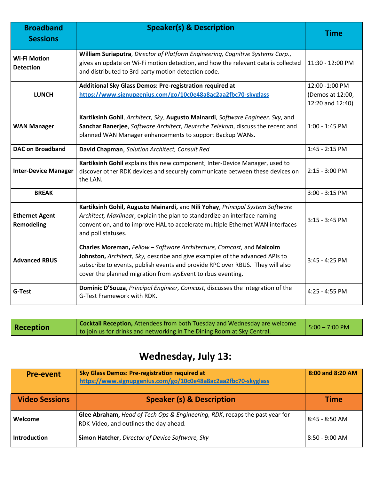| <b>Broadband</b><br><b>Sessions</b>     | <b>Speaker(s) &amp; Description</b>                                                                                                                                                                                                                                                                   | <b>Time</b>                                            |
|-----------------------------------------|-------------------------------------------------------------------------------------------------------------------------------------------------------------------------------------------------------------------------------------------------------------------------------------------------------|--------------------------------------------------------|
| <b>Wi-Fi Motion</b><br><b>Detection</b> | William Suriaputra, Director of Platform Engineering, Cognitive Systems Corp.,<br>gives an update on Wi-Fi motion detection, and how the relevant data is collected<br>and distributed to 3rd party motion detection code.                                                                            | 11:30 - 12:00 PM                                       |
| <b>LUNCH</b>                            | Additional Sky Glass Demos: Pre-registration required at<br>https://www.signupgenius.com/go/10c0e48a8ac2aa2fbc70-skyglass                                                                                                                                                                             | 12:00 -1:00 PM<br>(Demos at 12:00,<br>12:20 and 12:40) |
| <b>WAN Manager</b>                      | Kartiksinh Gohil, Architect, Sky, Augusto Mainardi, Software Engineer, Sky, and<br>Sanchar Banerjee, Software Architect, Deutsche Telekom, discuss the recent and<br>planned WAN Manager enhancements to support Backup WANs.                                                                         | 1:00 - 1:45 PM                                         |
| <b>DAC on Broadband</b>                 | David Chapman, Solution Architect, Consult Red                                                                                                                                                                                                                                                        | 1:45 - 2:15 PM                                         |
| <b>Inter-Device Manager</b>             | Kartiksinh Gohil explains this new component, Inter-Device Manager, used to<br>discover other RDK devices and securely communicate between these devices on<br>the LAN.                                                                                                                               | $2:15 - 3:00$ PM                                       |
| <b>BREAK</b>                            |                                                                                                                                                                                                                                                                                                       | 3:00 - 3:15 PM                                         |
| <b>Ethernet Agent</b><br>Remodeling     | Kartiksinh Gohil, Augusto Mainardi, and Nili Yohay, Principal System Software<br>Architect, Maxlinear, explain the plan to standardize an interface naming<br>convention, and to improve HAL to accelerate multiple Ethernet WAN interfaces<br>and poll statuses.                                     | $3:15 - 3:45$ PM                                       |
| <b>Advanced RBUS</b>                    | Charles Moreman, Fellow - Software Architecture, Comcast, and Malcolm<br>Johnston, Architect, Sky, describe and give examples of the advanced APIs to<br>subscribe to events, publish events and provide RPC over RBUS. They will also<br>cover the planned migration from sysEvent to rbus eventing. | $3:45 - 4:25$ PM                                       |
| <b>G-Test</b>                           | Dominic D'Souza, Principal Engineer, Comcast, discusses the integration of the<br>G-Test Framework with RDK.                                                                                                                                                                                          | 4:25 - 4:55 PM                                         |

| Reception | <b>Cocktail Reception, Attendees from both Tuesday and Wednesday are welcome</b> | $5:00 - 7:00 \text{ PM}$ |
|-----------|----------------------------------------------------------------------------------|--------------------------|
|           | to join us for drinks and networking in The Dining Room at Sky Central.          |                          |

## **Wednesday, July 13:**

| <b>Pre-event</b>      | <b>Sky Glass Demos: Pre-registration required at</b><br>https://www.signupgenius.com/go/10c0e48a8ac2aa2fbc70-skyglass | 8:00 and 8:20 AM |
|-----------------------|-----------------------------------------------------------------------------------------------------------------------|------------------|
| <b>Video Sessions</b> | <b>Speaker (s) &amp; Description</b>                                                                                  | <b>Time</b>      |
| Welcome               | Glee Abraham, Head of Tech Ops & Engineering, RDK, recaps the past year for<br>RDK-Video, and outlines the day ahead. | $8:45 - 8:50$ AM |
| <b>Introduction</b>   | Simon Hatcher, Director of Device Software, Sky                                                                       | $8:50 - 9:00$ AM |